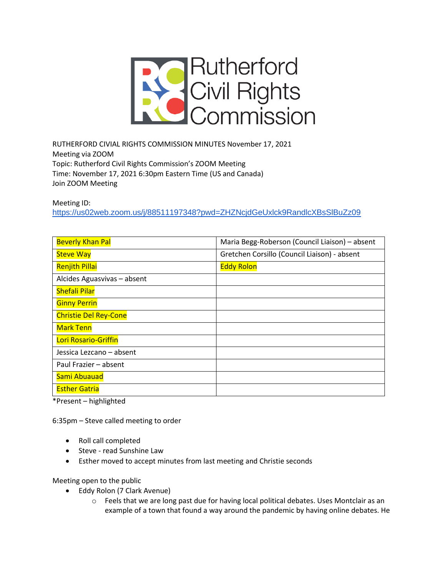

RUTHERFORD CIVIAL RIGHTS COMMISSION MINUTES November 17, 2021 Meeting via ZOOM Topic: Rutherford Civil Rights Commission's ZOOM Meeting Time: November 17, 2021 6:30pm Eastern Time (US and Canada) Join ZOOM Meeting

Meeting ID:

<https://us02web.zoom.us/j/88511197348?pwd=ZHZNcjdGeUxlck9RandlcXBsSlBuZz09>

| <b>Beverly Khan Pal</b>      | Maria Begg-Roberson (Council Liaison) - absent |
|------------------------------|------------------------------------------------|
| <b>Steve Way</b>             | Gretchen Corsillo (Council Liaison) - absent   |
| <b>Renjith Pillai</b>        | <b>Eddy Rolon</b>                              |
| Alcides Aguasvivas - absent  |                                                |
| <b>Shefali Pilar</b>         |                                                |
| <b>Ginny Perrin</b>          |                                                |
| <b>Christie Del Rey-Cone</b> |                                                |
| <b>Mark Tenn</b>             |                                                |
| Lori Rosario-Griffin         |                                                |
| Jessica Lezcano – absent     |                                                |
| Paul Frazier - absent        |                                                |
| Sami Abuauad                 |                                                |
| <b>Esther Gatria</b>         |                                                |

\*Present – highlighted

6:35pm – Steve called meeting to order

- Roll call completed
- Steve read Sunshine Law
- Esther moved to accept minutes from last meeting and Christie seconds

Meeting open to the public

- Eddy Rolon (7 Clark Avenue)
	- o Feels that we are long past due for having local political debates. Uses Montclair as an example of a town that found a way around the pandemic by having online debates. He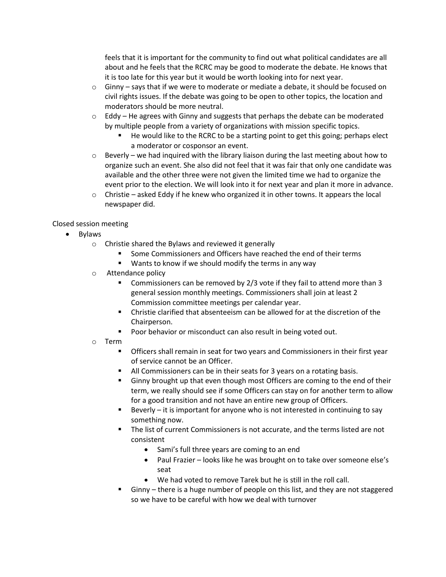feels that it is important for the community to find out what political candidates are all about and he feels that the RCRC may be good to moderate the debate. He knows that it is too late for this year but it would be worth looking into for next year.

- $\circ$  Ginny says that if we were to moderate or mediate a debate, it should be focused on civil rights issues. If the debate was going to be open to other topics, the location and moderators should be more neutral.
- $\circ$  Eddy He agrees with Ginny and suggests that perhaps the debate can be moderated by multiple people from a variety of organizations with mission specific topics.
	- He would like to the RCRC to be a starting point to get this going; perhaps elect a moderator or cosponsor an event.
- $\circ$  Beverly we had inquired with the library liaison during the last meeting about how to organize such an event. She also did not feel that it was fair that only one candidate was available and the other three were not given the limited time we had to organize the event prior to the election. We will look into it for next year and plan it more in advance.
- $\circ$  Christie asked Eddy if he knew who organized it in other towns. It appears the local newspaper did.

## Closed session meeting

- Bylaws
	- o Christie shared the Bylaws and reviewed it generally
		- Some Commissioners and Officers have reached the end of their terms
		- Wants to know if we should modify the terms in any way
	- o Attendance policy
		- Commissioners can be removed by 2/3 vote if they fail to attend more than 3 general session monthly meetings. Commissioners shall join at least 2 Commission committee meetings per calendar year.
		- Christie clarified that absenteeism can be allowed for at the discretion of the Chairperson.
		- Poor behavior or misconduct can also result in being voted out.
	- o Term
		- **•** Officers shall remain in seat for two years and Commissioners in their first year of service cannot be an Officer.
		- All Commissioners can be in their seats for 3 years on a rotating basis.
		- **EXED** Ginny brought up that even though most Officers are coming to the end of their term, we really should see if some Officers can stay on for another term to allow for a good transition and not have an entire new group of Officers.
		- Beverly  $-$  it is important for anyone who is not interested in continuing to say something now.
		- The list of current Commissioners is not accurate, and the terms listed are not consistent
			- Sami's full three years are coming to an end
			- Paul Frazier looks like he was brought on to take over someone else's seat
			- We had voted to remove Tarek but he is still in the roll call.
		- Ginny there is a huge number of people on this list, and they are not staggered so we have to be careful with how we deal with turnover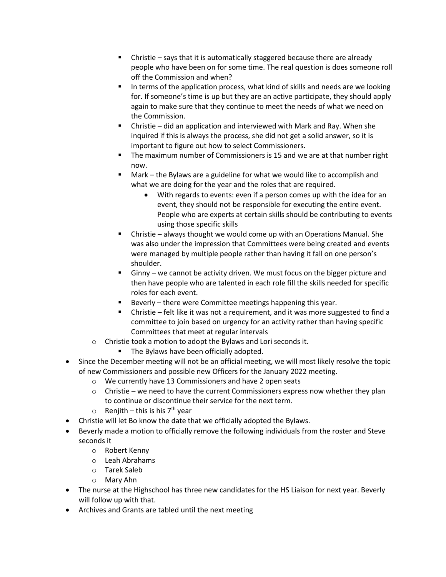- Christie says that it is automatically staggered because there are already people who have been on for some time. The real question is does someone roll off the Commission and when?
- In terms of the application process, what kind of skills and needs are we looking for. If someone's time is up but they are an active participate, they should apply again to make sure that they continue to meet the needs of what we need on the Commission.
- Christie did an application and interviewed with Mark and Ray. When she inquired if this is always the process, she did not get a solid answer, so it is important to figure out how to select Commissioners.
- The maximum number of Commissioners is 15 and we are at that number right now.
- $Mark the Bylaws are a guideline for what we would like to accomplish and$ what we are doing for the year and the roles that are required.
	- With regards to events: even if a person comes up with the idea for an event, they should not be responsible for executing the entire event. People who are experts at certain skills should be contributing to events using those specific skills
- Christie always thought we would come up with an Operations Manual. She was also under the impression that Committees were being created and events were managed by multiple people rather than having it fall on one person's shoulder.
- Ginny we cannot be activity driven. We must focus on the bigger picture and then have people who are talented in each role fill the skills needed for specific roles for each event.
- Beverly there were Committee meetings happening this year.
- Christie felt like it was not a requirement, and it was more suggested to find a committee to join based on urgency for an activity rather than having specific Committees that meet at regular intervals
- o Christie took a motion to adopt the Bylaws and Lori seconds it.
	- The Bylaws have been officially adopted.
- Since the December meeting will not be an official meeting, we will most likely resolve the topic of new Commissioners and possible new Officers for the January 2022 meeting.
	- o We currently have 13 Commissioners and have 2 open seats
	- $\circ$  Christie we need to have the current Commissioners express now whether they plan to continue or discontinue their service for the next term.
	- $\circ$  Renjith this is his 7<sup>th</sup> year
- Christie will let Bo know the date that we officially adopted the Bylaws.
- Beverly made a motion to officially remove the following individuals from the roster and Steve seconds it
	- o Robert Kenny
	- o Leah Abrahams
	- o Tarek Saleb
	- o Mary Ahn
- The nurse at the Highschool has three new candidates for the HS Liaison for next year. Beverly will follow up with that.
- Archives and Grants are tabled until the next meeting